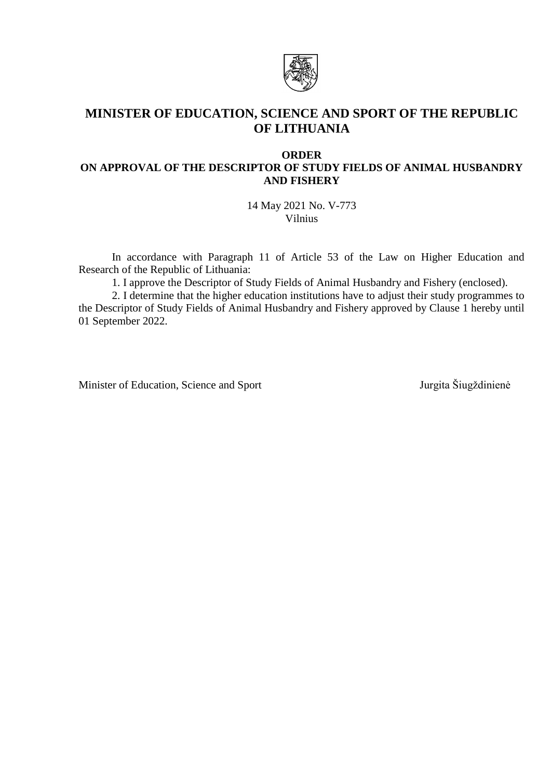

# **MINISTER OF EDUCATION, SCIENCE AND SPORT OF THE REPUBLIC OF LITHUANIA**

# **ORDER ON APPROVAL OF THE DESCRIPTOR OF STUDY FIELDS OF ANIMAL HUSBANDRY AND FISHERY**

14 May 2021 No. V-773 Vilnius

In accordance with Paragraph 11 of Article 53 of the Law on Higher Education and Research of the Republic of Lithuania:

1. I approve the Descriptor of Study Fields of Animal Husbandry and Fishery (enclosed).

2. I determine that the higher education institutions have to adjust their study programmes to the Descriptor of Study Fields of Animal Husbandry and Fishery approved by Clause 1 hereby until 01 September 2022.

Minister of Education, Science and Sport Jurgita Šiugždinienė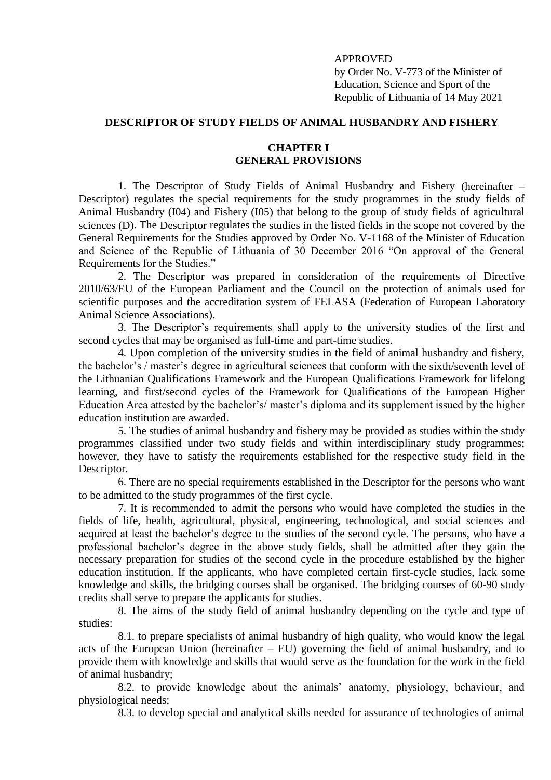# APPROVED

by Order No. V-773 of the Minister of Education, Science and Sport of the Republic of Lithuania of 14 May 2021

# **DESCRIPTOR OF STUDY FIELDS OF ANIMAL HUSBANDRY AND FISHERY**

#### **CHAPTER I GENERAL PROVISIONS**

1. The Descriptor of Study Fields of Animal Husbandry and Fishery (hereinafter – Descriptor) regulates the special requirements for the study programmes in the study fields of Animal Husbandry (I04) and Fishery (I05) that belong to the group of study fields of agricultural sciences (D). The Descriptor regulates the studies in the listed fields in the scope not covered by the General Requirements for the Studies approved by Order No. V-1168 of the Minister of Education and Science of the Republic of Lithuania of 30 December 2016 "On approval of the General Requirements for the Studies."

2. The Descriptor was prepared in consideration of the requirements of Directive 2010/63/EU of the European Parliament and the Council on the protection of animals used for scientific purposes and the accreditation system of FELASA (Federation of European Laboratory Animal Science Associations).

3. The Descriptor's requirements shall apply to the university studies of the first and second cycles that may be organised as full-time and part-time studies.

4. Upon completion of the university studies in the field of animal husbandry and fishery, the bachelor's / master's degree in agricultural sciences that conform with the sixth/seventh level of the Lithuanian Qualifications Framework and the European Qualifications Framework for lifelong learning, and first/second cycles of the Framework for Qualifications of the European Higher Education Area attested by the bachelor's/ master's diploma and its supplement issued by the higher education institution are awarded.

5. The studies of animal husbandry and fishery may be provided as studies within the study programmes classified under two study fields and within interdisciplinary study programmes; however, they have to satisfy the requirements established for the respective study field in the Descriptor.

6. There are no special requirements established in the Descriptor for the persons who want to be admitted to the study programmes of the first cycle.

7. It is recommended to admit the persons who would have completed the studies in the fields of life, health, agricultural, physical, engineering, technological, and social sciences and acquired at least the bachelor's degree to the studies of the second cycle. The persons, who have a professional bachelor's degree in the above study fields, shall be admitted after they gain the necessary preparation for studies of the second cycle in the procedure established by the higher education institution. If the applicants, who have completed certain first-cycle studies, lack some knowledge and skills, the bridging courses shall be organised. The bridging courses of 60-90 study credits shall serve to prepare the applicants for studies.

8. The aims of the study field of animal husbandry depending on the cycle and type of studies:

8.1. to prepare specialists of animal husbandry of high quality, who would know the legal acts of the European Union (hereinafter  $-$  EU) governing the field of animal husbandry, and to provide them with knowledge and skills that would serve as the foundation for the work in the field of animal husbandry;

8.2. to provide knowledge about the animals' anatomy, physiology, behaviour, and physiological needs;

8.3. to develop special and analytical skills needed for assurance of technologies of animal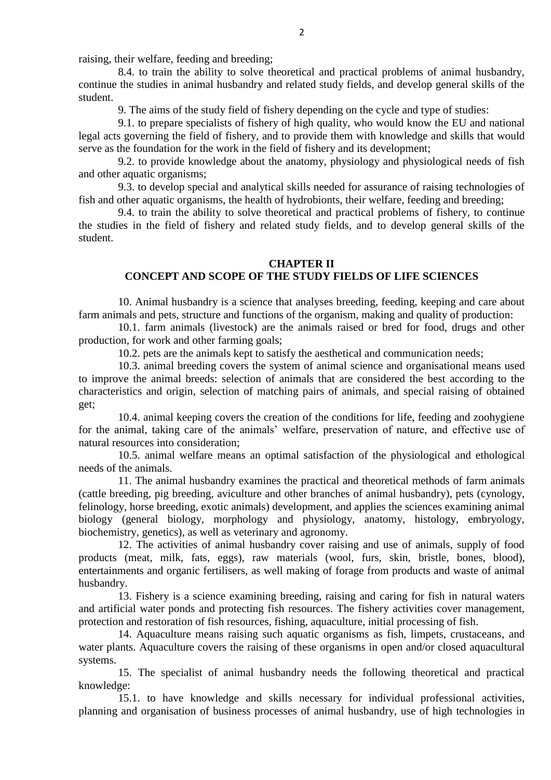raising, their welfare, feeding and breeding;

8.4. to train the ability to solve theoretical and practical problems of animal husbandry, continue the studies in animal husbandry and related study fields, and develop general skills of the student.

9. The aims of the study field of fishery depending on the cycle and type of studies:

9.1. to prepare specialists of fishery of high quality, who would know the EU and national legal acts governing the field of fishery, and to provide them with knowledge and skills that would serve as the foundation for the work in the field of fishery and its development;

9.2. to provide knowledge about the anatomy, physiology and physiological needs of fish and other aquatic organisms;

9.3. to develop special and analytical skills needed for assurance of raising technologies of fish and other aquatic organisms, the health of hydrobionts, their welfare, feeding and breeding;

9.4. to train the ability to solve theoretical and practical problems of fishery, to continue the studies in the field of fishery and related study fields, and to develop general skills of the student.

#### **CHAPTER II**

## **CONCEPT AND SCOPE OF THE STUDY FIELDS OF LIFE SCIENCES**

10. Animal husbandry is a science that analyses breeding, feeding, keeping and care about farm animals and pets, structure and functions of the organism, making and quality of production:

10.1. farm animals (livestock) are the animals raised or bred for food, drugs and other production, for work and other farming goals;

10.2. pets are the animals kept to satisfy the aesthetical and communication needs;

10.3. animal breeding covers the system of animal science and organisational means used to improve the animal breeds: selection of animals that are considered the best according to the characteristics and origin, selection of matching pairs of animals, and special raising of obtained get;

10.4. animal keeping covers the creation of the conditions for life, feeding and zoohygiene for the animal, taking care of the animals' welfare, preservation of nature, and effective use of natural resources into consideration;

10.5. animal welfare means an optimal satisfaction of the physiological and ethological needs of the animals.

11. The animal husbandry examines the practical and theoretical methods of farm animals (cattle breeding, pig breeding, aviculture and other branches of animal husbandry), pets (cynology, felinology, horse breeding, exotic animals) development, and applies the sciences examining animal biology (general biology, morphology and physiology, anatomy, histology, embryology, biochemistry, genetics), as well as veterinary and agronomy.

12. The activities of animal husbandry cover raising and use of animals, supply of food products (meat, milk, fats, eggs), raw materials (wool, furs, skin, bristle, bones, blood), entertainments and organic fertilisers, as well making of forage from products and waste of animal husbandry.

13. Fishery is a science examining breeding, raising and caring for fish in natural waters and artificial water ponds and protecting fish resources. The fishery activities cover management, protection and restoration of fish resources, fishing, aquaculture, initial processing of fish.

14. Aquaculture means raising such aquatic organisms as fish, limpets, crustaceans, and water plants. Aquaculture covers the raising of these organisms in open and/or closed aquacultural systems.

15. The specialist of animal husbandry needs the following theoretical and practical knowledge:

15.1. to have knowledge and skills necessary for individual professional activities, planning and organisation of business processes of animal husbandry, use of high technologies in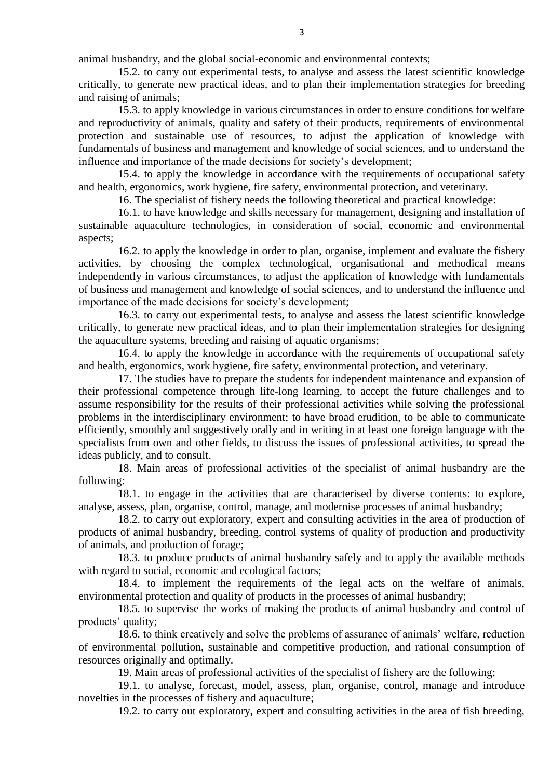animal husbandry, and the global social-economic and environmental contexts;

15.2. to carry out experimental tests, to analyse and assess the latest scientific knowledge critically, to generate new practical ideas, and to plan their implementation strategies for breeding and raising of animals;

15.3. to apply knowledge in various circumstances in order to ensure conditions for welfare and reproductivity of animals, quality and safety of their products, requirements of environmental protection and sustainable use of resources, to adjust the application of knowledge with fundamentals of business and management and knowledge of social sciences, and to understand the influence and importance of the made decisions for society's development;

15.4. to apply the knowledge in accordance with the requirements of occupational safety and health, ergonomics, work hygiene, fire safety, environmental protection, and veterinary.

16. The specialist of fishery needs the following theoretical and practical knowledge:

16.1. to have knowledge and skills necessary for management, designing and installation of sustainable aquaculture technologies, in consideration of social, economic and environmental aspects;

16.2. to apply the knowledge in order to plan, organise, implement and evaluate the fishery activities, by choosing the complex technological, organisational and methodical means independently in various circumstances, to adjust the application of knowledge with fundamentals of business and management and knowledge of social sciences, and to understand the influence and importance of the made decisions for society's development;

16.3. to carry out experimental tests, to analyse and assess the latest scientific knowledge critically, to generate new practical ideas, and to plan their implementation strategies for designing the aquaculture systems, breeding and raising of aquatic organisms;

16.4. to apply the knowledge in accordance with the requirements of occupational safety and health, ergonomics, work hygiene, fire safety, environmental protection, and veterinary.

17. The studies have to prepare the students for independent maintenance and expansion of their professional competence through life-long learning, to accept the future challenges and to assume responsibility for the results of their professional activities while solving the professional problems in the interdisciplinary environment; to have broad erudition, to be able to communicate efficiently, smoothly and suggestively orally and in writing in at least one foreign language with the specialists from own and other fields, to discuss the issues of professional activities, to spread the ideas publicly, and to consult.

18. Main areas of professional activities of the specialist of animal husbandry are the following:

18.1. to engage in the activities that are characterised by diverse contents: to explore, analyse, assess, plan, organise, control, manage, and modernise processes of animal husbandry;

18.2. to carry out exploratory, expert and consulting activities in the area of production of products of animal husbandry, breeding, control systems of quality of production and productivity of animals, and production of forage;

18.3. to produce products of animal husbandry safely and to apply the available methods with regard to social, economic and ecological factors;

18.4. to implement the requirements of the legal acts on the welfare of animals, environmental protection and quality of products in the processes of animal husbandry;

18.5. to supervise the works of making the products of animal husbandry and control of products' quality;

18.6. to think creatively and solve the problems of assurance of animals' welfare, reduction of environmental pollution, sustainable and competitive production, and rational consumption of resources originally and optimally.

19. Main areas of professional activities of the specialist of fishery are the following:

19.1. to analyse, forecast, model, assess, plan, organise, control, manage and introduce novelties in the processes of fishery and aquaculture;

19.2. to carry out exploratory, expert and consulting activities in the area of fish breeding,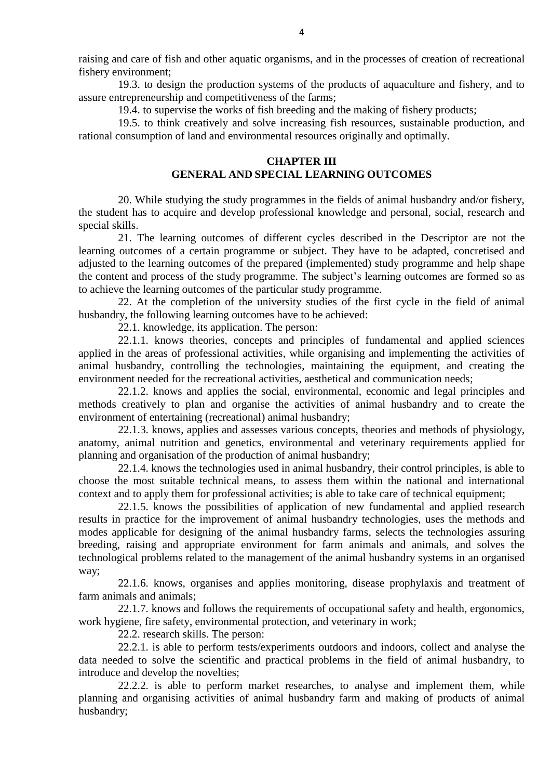raising and care of fish and other aquatic organisms, and in the processes of creation of recreational fishery environment;

19.3. to design the production systems of the products of aquaculture and fishery, and to assure entrepreneurship and competitiveness of the farms;

19.4. to supervise the works of fish breeding and the making of fishery products;

19.5. to think creatively and solve increasing fish resources, sustainable production, and rational consumption of land and environmental resources originally and optimally.

#### **CHAPTER III GENERAL AND SPECIAL LEARNING OUTCOMES**

20. While studying the study programmes in the fields of animal husbandry and/or fishery, the student has to acquire and develop professional knowledge and personal, social, research and special skills.

21. The learning outcomes of different cycles described in the Descriptor are not the learning outcomes of a certain programme or subject. They have to be adapted, concretised and adjusted to the learning outcomes of the prepared (implemented) study programme and help shape the content and process of the study programme. The subject's learning outcomes are formed so as to achieve the learning outcomes of the particular study programme.

22. At the completion of the university studies of the first cycle in the field of animal husbandry, the following learning outcomes have to be achieved:

22.1. knowledge, its application. The person:

22.1.1. knows theories, concepts and principles of fundamental and applied sciences applied in the areas of professional activities, while organising and implementing the activities of animal husbandry, controlling the technologies, maintaining the equipment, and creating the environment needed for the recreational activities, aesthetical and communication needs;

22.1.2. knows and applies the social, environmental, economic and legal principles and methods creatively to plan and organise the activities of animal husbandry and to create the environment of entertaining (recreational) animal husbandry;

22.1.3. knows, applies and assesses various concepts, theories and methods of physiology, anatomy, animal nutrition and genetics, environmental and veterinary requirements applied for planning and organisation of the production of animal husbandry;

22.1.4. knows the technologies used in animal husbandry, their control principles, is able to choose the most suitable technical means, to assess them within the national and international context and to apply them for professional activities; is able to take care of technical equipment;

22.1.5. knows the possibilities of application of new fundamental and applied research results in practice for the improvement of animal husbandry technologies, uses the methods and modes applicable for designing of the animal husbandry farms, selects the technologies assuring breeding, raising and appropriate environment for farm animals and animals, and solves the technological problems related to the management of the animal husbandry systems in an organised way;

22.1.6. knows, organises and applies monitoring, disease prophylaxis and treatment of farm animals and animals;

22.1.7. knows and follows the requirements of occupational safety and health, ergonomics, work hygiene, fire safety, environmental protection, and veterinary in work;

22.2. research skills. The person:

22.2.1. is able to perform tests/experiments outdoors and indoors, collect and analyse the data needed to solve the scientific and practical problems in the field of animal husbandry, to introduce and develop the novelties;

22.2.2. is able to perform market researches, to analyse and implement them, while planning and organising activities of animal husbandry farm and making of products of animal husbandry;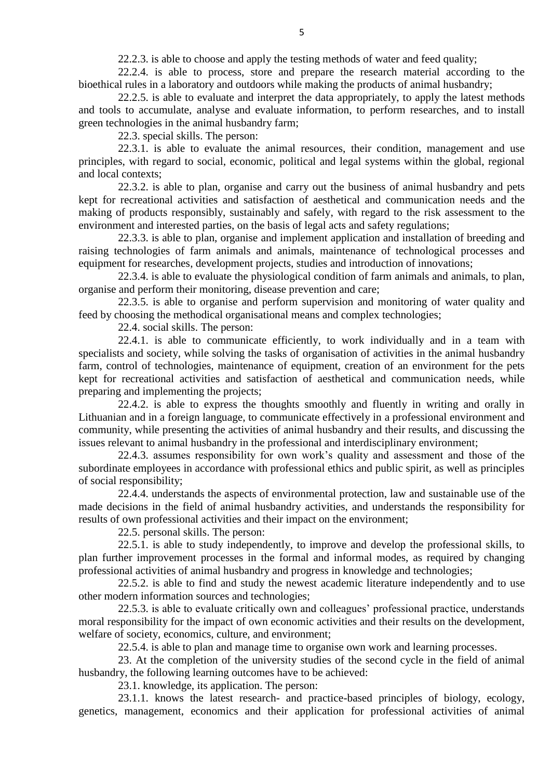22.2.3. is able to choose and apply the testing methods of water and feed quality;

22.2.4. is able to process, store and prepare the research material according to the bioethical rules in a laboratory and outdoors while making the products of animal husbandry;

22.2.5. is able to evaluate and interpret the data appropriately, to apply the latest methods and tools to accumulate, analyse and evaluate information, to perform researches, and to install green technologies in the animal husbandry farm;

22.3. special skills. The person:

22.3.1. is able to evaluate the animal resources, their condition, management and use principles, with regard to social, economic, political and legal systems within the global, regional and local contexts;

22.3.2. is able to plan, organise and carry out the business of animal husbandry and pets kept for recreational activities and satisfaction of aesthetical and communication needs and the making of products responsibly, sustainably and safely, with regard to the risk assessment to the environment and interested parties, on the basis of legal acts and safety regulations;

22.3.3. is able to plan, organise and implement application and installation of breeding and raising technologies of farm animals and animals, maintenance of technological processes and equipment for researches, development projects, studies and introduction of innovations;

22.3.4. is able to evaluate the physiological condition of farm animals and animals, to plan, organise and perform their monitoring, disease prevention and care;

22.3.5. is able to organise and perform supervision and monitoring of water quality and feed by choosing the methodical organisational means and complex technologies;

22.4. social skills. The person:

22.4.1. is able to communicate efficiently, to work individually and in a team with specialists and society, while solving the tasks of organisation of activities in the animal husbandry farm, control of technologies, maintenance of equipment, creation of an environment for the pets kept for recreational activities and satisfaction of aesthetical and communication needs, while preparing and implementing the projects;

22.4.2. is able to express the thoughts smoothly and fluently in writing and orally in Lithuanian and in a foreign language, to communicate effectively in a professional environment and community, while presenting the activities of animal husbandry and their results, and discussing the issues relevant to animal husbandry in the professional and interdisciplinary environment;

22.4.3. assumes responsibility for own work's quality and assessment and those of the subordinate employees in accordance with professional ethics and public spirit, as well as principles of social responsibility;

22.4.4. understands the aspects of environmental protection, law and sustainable use of the made decisions in the field of animal husbandry activities, and understands the responsibility for results of own professional activities and their impact on the environment;

22.5. personal skills. The person:

22.5.1. is able to study independently, to improve and develop the professional skills, to plan further improvement processes in the formal and informal modes, as required by changing professional activities of animal husbandry and progress in knowledge and technologies;

22.5.2. is able to find and study the newest academic literature independently and to use other modern information sources and technologies;

22.5.3. is able to evaluate critically own and colleagues' professional practice, understands moral responsibility for the impact of own economic activities and their results on the development, welfare of society, economics, culture, and environment;

22.5.4. is able to plan and manage time to organise own work and learning processes.

23. At the completion of the university studies of the second cycle in the field of animal husbandry, the following learning outcomes have to be achieved:

23.1. knowledge, its application. The person:

23.1.1. knows the latest research- and practice-based principles of biology, ecology, genetics, management, economics and their application for professional activities of animal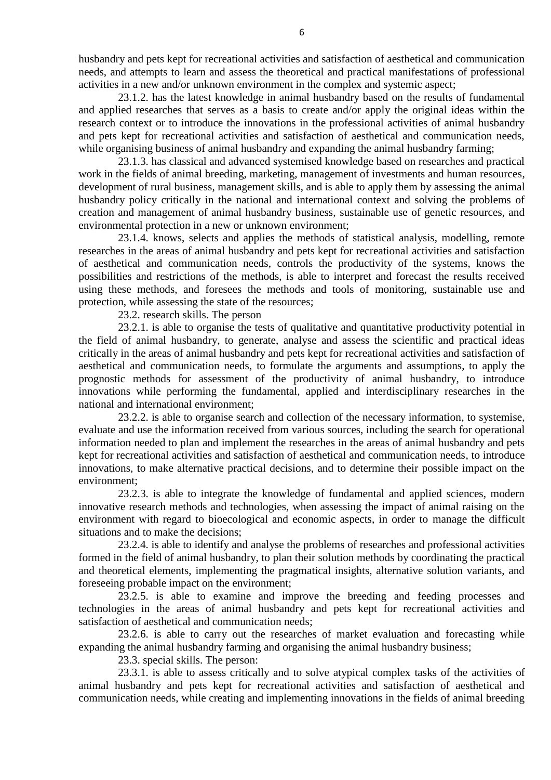husbandry and pets kept for recreational activities and satisfaction of aesthetical and communication needs, and attempts to learn and assess the theoretical and practical manifestations of professional activities in a new and/or unknown environment in the complex and systemic aspect;

23.1.2. has the latest knowledge in animal husbandry based on the results of fundamental and applied researches that serves as a basis to create and/or apply the original ideas within the research context or to introduce the innovations in the professional activities of animal husbandry and pets kept for recreational activities and satisfaction of aesthetical and communication needs, while organising business of animal husbandry and expanding the animal husbandry farming;

23.1.3. has classical and advanced systemised knowledge based on researches and practical work in the fields of animal breeding, marketing, management of investments and human resources, development of rural business, management skills, and is able to apply them by assessing the animal husbandry policy critically in the national and international context and solving the problems of creation and management of animal husbandry business, sustainable use of genetic resources, and environmental protection in a new or unknown environment;

23.1.4. knows, selects and applies the methods of statistical analysis, modelling, remote researches in the areas of animal husbandry and pets kept for recreational activities and satisfaction of aesthetical and communication needs, controls the productivity of the systems, knows the possibilities and restrictions of the methods, is able to interpret and forecast the results received using these methods, and foresees the methods and tools of monitoring, sustainable use and protection, while assessing the state of the resources;

23.2. research skills. The person

23.2.1. is able to organise the tests of qualitative and quantitative productivity potential in the field of animal husbandry, to generate, analyse and assess the scientific and practical ideas critically in the areas of animal husbandry and pets kept for recreational activities and satisfaction of aesthetical and communication needs, to formulate the arguments and assumptions, to apply the prognostic methods for assessment of the productivity of animal husbandry, to introduce innovations while performing the fundamental, applied and interdisciplinary researches in the national and international environment;

23.2.2. is able to organise search and collection of the necessary information, to systemise, evaluate and use the information received from various sources, including the search for operational information needed to plan and implement the researches in the areas of animal husbandry and pets kept for recreational activities and satisfaction of aesthetical and communication needs, to introduce innovations, to make alternative practical decisions, and to determine their possible impact on the environment;

23.2.3. is able to integrate the knowledge of fundamental and applied sciences, modern innovative research methods and technologies, when assessing the impact of animal raising on the environment with regard to bioecological and economic aspects, in order to manage the difficult situations and to make the decisions;

23.2.4. is able to identify and analyse the problems of researches and professional activities formed in the field of animal husbandry, to plan their solution methods by coordinating the practical and theoretical elements, implementing the pragmatical insights, alternative solution variants, and foreseeing probable impact on the environment;

23.2.5. is able to examine and improve the breeding and feeding processes and technologies in the areas of animal husbandry and pets kept for recreational activities and satisfaction of aesthetical and communication needs;

23.2.6. is able to carry out the researches of market evaluation and forecasting while expanding the animal husbandry farming and organising the animal husbandry business;

23.3. special skills. The person:

23.3.1. is able to assess critically and to solve atypical complex tasks of the activities of animal husbandry and pets kept for recreational activities and satisfaction of aesthetical and communication needs, while creating and implementing innovations in the fields of animal breeding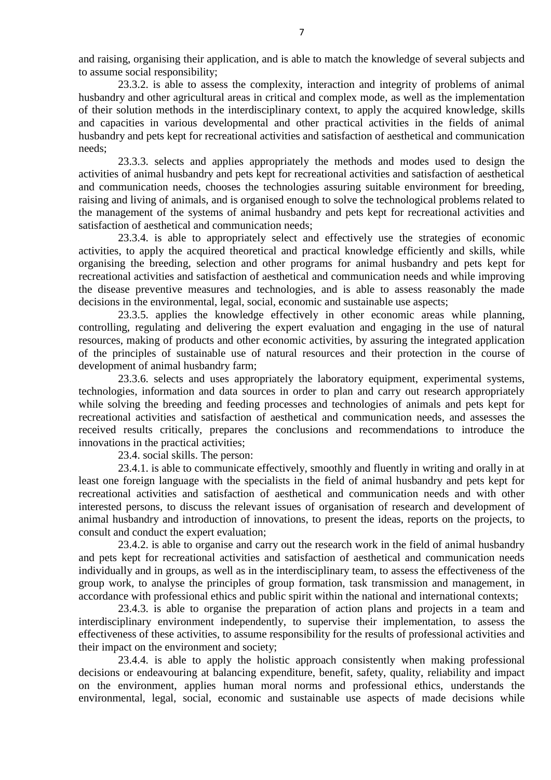and raising, organising their application, and is able to match the knowledge of several subjects and to assume social responsibility;

23.3.2. is able to assess the complexity, interaction and integrity of problems of animal husbandry and other agricultural areas in critical and complex mode, as well as the implementation of their solution methods in the interdisciplinary context, to apply the acquired knowledge, skills and capacities in various developmental and other practical activities in the fields of animal husbandry and pets kept for recreational activities and satisfaction of aesthetical and communication needs;

23.3.3. selects and applies appropriately the methods and modes used to design the activities of animal husbandry and pets kept for recreational activities and satisfaction of aesthetical and communication needs, chooses the technologies assuring suitable environment for breeding, raising and living of animals, and is organised enough to solve the technological problems related to the management of the systems of animal husbandry and pets kept for recreational activities and satisfaction of aesthetical and communication needs;

23.3.4. is able to appropriately select and effectively use the strategies of economic activities, to apply the acquired theoretical and practical knowledge efficiently and skills, while organising the breeding, selection and other programs for animal husbandry and pets kept for recreational activities and satisfaction of aesthetical and communication needs and while improving the disease preventive measures and technologies, and is able to assess reasonably the made decisions in the environmental, legal, social, economic and sustainable use aspects;

23.3.5. applies the knowledge effectively in other economic areas while planning, controlling, regulating and delivering the expert evaluation and engaging in the use of natural resources, making of products and other economic activities, by assuring the integrated application of the principles of sustainable use of natural resources and their protection in the course of development of animal husbandry farm;

23.3.6. selects and uses appropriately the laboratory equipment, experimental systems, technologies, information and data sources in order to plan and carry out research appropriately while solving the breeding and feeding processes and technologies of animals and pets kept for recreational activities and satisfaction of aesthetical and communication needs, and assesses the received results critically, prepares the conclusions and recommendations to introduce the innovations in the practical activities;

23.4. social skills. The person:

23.4.1. is able to communicate effectively, smoothly and fluently in writing and orally in at least one foreign language with the specialists in the field of animal husbandry and pets kept for recreational activities and satisfaction of aesthetical and communication needs and with other interested persons, to discuss the relevant issues of organisation of research and development of animal husbandry and introduction of innovations, to present the ideas, reports on the projects, to consult and conduct the expert evaluation;

23.4.2. is able to organise and carry out the research work in the field of animal husbandry and pets kept for recreational activities and satisfaction of aesthetical and communication needs individually and in groups, as well as in the interdisciplinary team, to assess the effectiveness of the group work, to analyse the principles of group formation, task transmission and management, in accordance with professional ethics and public spirit within the national and international contexts;

23.4.3. is able to organise the preparation of action plans and projects in a team and interdisciplinary environment independently, to supervise their implementation, to assess the effectiveness of these activities, to assume responsibility for the results of professional activities and their impact on the environment and society;

23.4.4. is able to apply the holistic approach consistently when making professional decisions or endeavouring at balancing expenditure, benefit, safety, quality, reliability and impact on the environment, applies human moral norms and professional ethics, understands the environmental, legal, social, economic and sustainable use aspects of made decisions while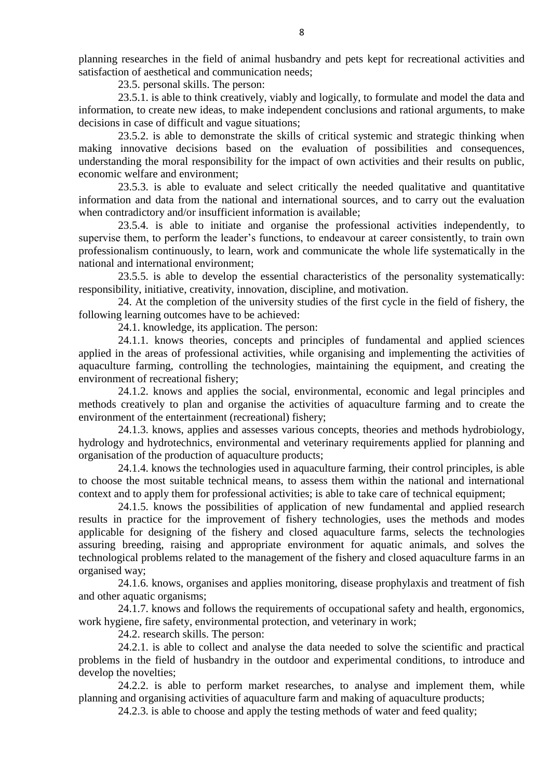planning researches in the field of animal husbandry and pets kept for recreational activities and satisfaction of aesthetical and communication needs;

23.5. personal skills. The person:

23.5.1. is able to think creatively, viably and logically, to formulate and model the data and information, to create new ideas, to make independent conclusions and rational arguments, to make decisions in case of difficult and vague situations;

23.5.2. is able to demonstrate the skills of critical systemic and strategic thinking when making innovative decisions based on the evaluation of possibilities and consequences, understanding the moral responsibility for the impact of own activities and their results on public, economic welfare and environment;

23.5.3. is able to evaluate and select critically the needed qualitative and quantitative information and data from the national and international sources, and to carry out the evaluation when contradictory and/or insufficient information is available;

23.5.4. is able to initiate and organise the professional activities independently, to supervise them, to perform the leader's functions, to endeavour at career consistently, to train own professionalism continuously, to learn, work and communicate the whole life systematically in the national and international environment;

23.5.5. is able to develop the essential characteristics of the personality systematically: responsibility, initiative, creativity, innovation, discipline, and motivation.

24. At the completion of the university studies of the first cycle in the field of fishery, the following learning outcomes have to be achieved:

24.1. knowledge, its application. The person:

24.1.1. knows theories, concepts and principles of fundamental and applied sciences applied in the areas of professional activities, while organising and implementing the activities of aquaculture farming, controlling the technologies, maintaining the equipment, and creating the environment of recreational fishery;

24.1.2. knows and applies the social, environmental, economic and legal principles and methods creatively to plan and organise the activities of aquaculture farming and to create the environment of the entertainment (recreational) fishery;

24.1.3. knows, applies and assesses various concepts, theories and methods hydrobiology, hydrology and hydrotechnics, environmental and veterinary requirements applied for planning and organisation of the production of aquaculture products;

24.1.4. knows the technologies used in aquaculture farming, their control principles, is able to choose the most suitable technical means, to assess them within the national and international context and to apply them for professional activities; is able to take care of technical equipment;

24.1.5. knows the possibilities of application of new fundamental and applied research results in practice for the improvement of fishery technologies, uses the methods and modes applicable for designing of the fishery and closed aquaculture farms, selects the technologies assuring breeding, raising and appropriate environment for aquatic animals, and solves the technological problems related to the management of the fishery and closed aquaculture farms in an organised way;

24.1.6. knows, organises and applies monitoring, disease prophylaxis and treatment of fish and other aquatic organisms;

24.1.7. knows and follows the requirements of occupational safety and health, ergonomics, work hygiene, fire safety, environmental protection, and veterinary in work;

24.2. research skills. The person:

24.2.1. is able to collect and analyse the data needed to solve the scientific and practical problems in the field of husbandry in the outdoor and experimental conditions, to introduce and develop the novelties;

24.2.2. is able to perform market researches, to analyse and implement them, while planning and organising activities of aquaculture farm and making of aquaculture products;

24.2.3. is able to choose and apply the testing methods of water and feed quality;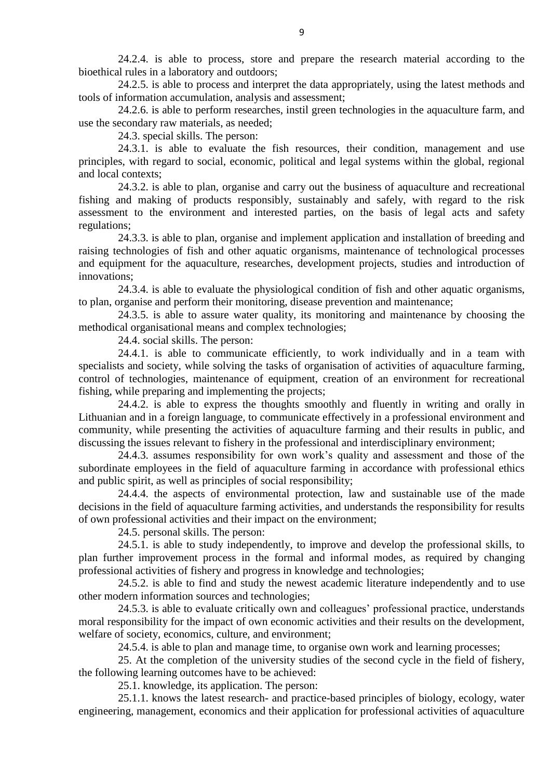24.2.4. is able to process, store and prepare the research material according to the bioethical rules in a laboratory and outdoors;

24.2.5. is able to process and interpret the data appropriately, using the latest methods and tools of information accumulation, analysis and assessment;

24.2.6. is able to perform researches, instil green technologies in the aquaculture farm, and use the secondary raw materials, as needed;

24.3. special skills. The person:

24.3.1. is able to evaluate the fish resources, their condition, management and use principles, with regard to social, economic, political and legal systems within the global, regional and local contexts;

24.3.2. is able to plan, organise and carry out the business of aquaculture and recreational fishing and making of products responsibly, sustainably and safely, with regard to the risk assessment to the environment and interested parties, on the basis of legal acts and safety regulations;

24.3.3. is able to plan, organise and implement application and installation of breeding and raising technologies of fish and other aquatic organisms, maintenance of technological processes and equipment for the aquaculture, researches, development projects, studies and introduction of innovations;

24.3.4. is able to evaluate the physiological condition of fish and other aquatic organisms, to plan, organise and perform their monitoring, disease prevention and maintenance;

24.3.5. is able to assure water quality, its monitoring and maintenance by choosing the methodical organisational means and complex technologies;

24.4. social skills. The person:

24.4.1. is able to communicate efficiently, to work individually and in a team with specialists and society, while solving the tasks of organisation of activities of aquaculture farming, control of technologies, maintenance of equipment, creation of an environment for recreational fishing, while preparing and implementing the projects;

24.4.2. is able to express the thoughts smoothly and fluently in writing and orally in Lithuanian and in a foreign language, to communicate effectively in a professional environment and community, while presenting the activities of aquaculture farming and their results in public, and discussing the issues relevant to fishery in the professional and interdisciplinary environment;

24.4.3. assumes responsibility for own work's quality and assessment and those of the subordinate employees in the field of aquaculture farming in accordance with professional ethics and public spirit, as well as principles of social responsibility;

24.4.4. the aspects of environmental protection, law and sustainable use of the made decisions in the field of aquaculture farming activities, and understands the responsibility for results of own professional activities and their impact on the environment;

24.5. personal skills. The person:

24.5.1. is able to study independently, to improve and develop the professional skills, to plan further improvement process in the formal and informal modes, as required by changing professional activities of fishery and progress in knowledge and technologies;

24.5.2. is able to find and study the newest academic literature independently and to use other modern information sources and technologies;

24.5.3. is able to evaluate critically own and colleagues' professional practice, understands moral responsibility for the impact of own economic activities and their results on the development, welfare of society, economics, culture, and environment;

24.5.4. is able to plan and manage time, to organise own work and learning processes;

25. At the completion of the university studies of the second cycle in the field of fishery, the following learning outcomes have to be achieved:

25.1. knowledge, its application. The person:

25.1.1. knows the latest research- and practice-based principles of biology, ecology, water engineering, management, economics and their application for professional activities of aquaculture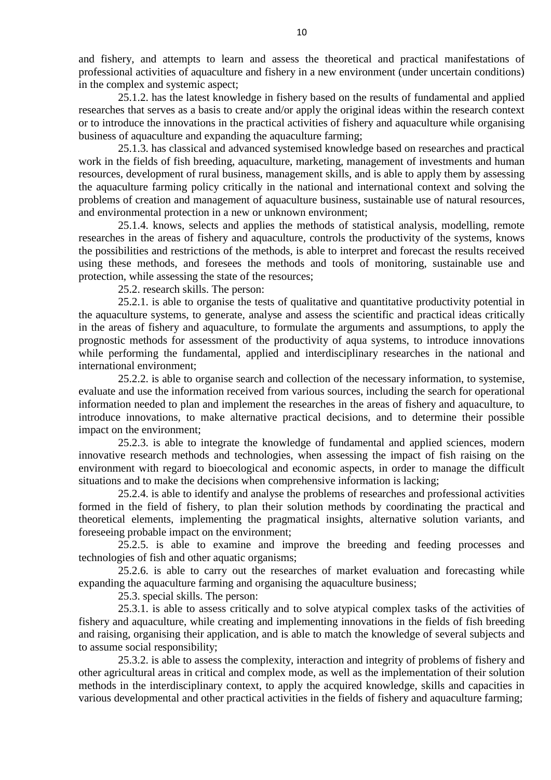and fishery, and attempts to learn and assess the theoretical and practical manifestations of professional activities of aquaculture and fishery in a new environment (under uncertain conditions) in the complex and systemic aspect;

25.1.2. has the latest knowledge in fishery based on the results of fundamental and applied researches that serves as a basis to create and/or apply the original ideas within the research context or to introduce the innovations in the practical activities of fishery and aquaculture while organising business of aquaculture and expanding the aquaculture farming;

25.1.3. has classical and advanced systemised knowledge based on researches and practical work in the fields of fish breeding, aquaculture, marketing, management of investments and human resources, development of rural business, management skills, and is able to apply them by assessing the aquaculture farming policy critically in the national and international context and solving the problems of creation and management of aquaculture business, sustainable use of natural resources, and environmental protection in a new or unknown environment;

25.1.4. knows, selects and applies the methods of statistical analysis, modelling, remote researches in the areas of fishery and aquaculture, controls the productivity of the systems, knows the possibilities and restrictions of the methods, is able to interpret and forecast the results received using these methods, and foresees the methods and tools of monitoring, sustainable use and protection, while assessing the state of the resources;

25.2. research skills. The person:

25.2.1. is able to organise the tests of qualitative and quantitative productivity potential in the aquaculture systems, to generate, analyse and assess the scientific and practical ideas critically in the areas of fishery and aquaculture, to formulate the arguments and assumptions, to apply the prognostic methods for assessment of the productivity of aqua systems, to introduce innovations while performing the fundamental, applied and interdisciplinary researches in the national and international environment;

25.2.2. is able to organise search and collection of the necessary information, to systemise, evaluate and use the information received from various sources, including the search for operational information needed to plan and implement the researches in the areas of fishery and aquaculture, to introduce innovations, to make alternative practical decisions, and to determine their possible impact on the environment;

25.2.3. is able to integrate the knowledge of fundamental and applied sciences, modern innovative research methods and technologies, when assessing the impact of fish raising on the environment with regard to bioecological and economic aspects, in order to manage the difficult situations and to make the decisions when comprehensive information is lacking;

25.2.4. is able to identify and analyse the problems of researches and professional activities formed in the field of fishery, to plan their solution methods by coordinating the practical and theoretical elements, implementing the pragmatical insights, alternative solution variants, and foreseeing probable impact on the environment;

25.2.5. is able to examine and improve the breeding and feeding processes and technologies of fish and other aquatic organisms;

25.2.6. is able to carry out the researches of market evaluation and forecasting while expanding the aquaculture farming and organising the aquaculture business;

25.3. special skills. The person:

25.3.1. is able to assess critically and to solve atypical complex tasks of the activities of fishery and aquaculture, while creating and implementing innovations in the fields of fish breeding and raising, organising their application, and is able to match the knowledge of several subjects and to assume social responsibility;

25.3.2. is able to assess the complexity, interaction and integrity of problems of fishery and other agricultural areas in critical and complex mode, as well as the implementation of their solution methods in the interdisciplinary context, to apply the acquired knowledge, skills and capacities in various developmental and other practical activities in the fields of fishery and aquaculture farming;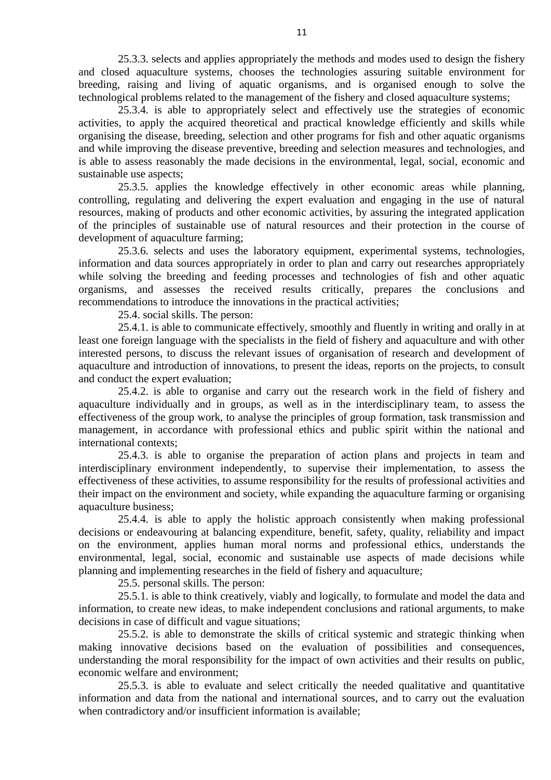25.3.3. selects and applies appropriately the methods and modes used to design the fishery and closed aquaculture systems, chooses the technologies assuring suitable environment for breeding, raising and living of aquatic organisms, and is organised enough to solve the technological problems related to the management of the fishery and closed aquaculture systems;

25.3.4. is able to appropriately select and effectively use the strategies of economic activities, to apply the acquired theoretical and practical knowledge efficiently and skills while organising the disease, breeding, selection and other programs for fish and other aquatic organisms and while improving the disease preventive, breeding and selection measures and technologies, and is able to assess reasonably the made decisions in the environmental, legal, social, economic and sustainable use aspects;

25.3.5. applies the knowledge effectively in other economic areas while planning, controlling, regulating and delivering the expert evaluation and engaging in the use of natural resources, making of products and other economic activities, by assuring the integrated application of the principles of sustainable use of natural resources and their protection in the course of development of aquaculture farming;

25.3.6. selects and uses the laboratory equipment, experimental systems, technologies, information and data sources appropriately in order to plan and carry out researches appropriately while solving the breeding and feeding processes and technologies of fish and other aquatic organisms, and assesses the received results critically, prepares the conclusions and recommendations to introduce the innovations in the practical activities;

25.4. social skills. The person:

25.4.1. is able to communicate effectively, smoothly and fluently in writing and orally in at least one foreign language with the specialists in the field of fishery and aquaculture and with other interested persons, to discuss the relevant issues of organisation of research and development of aquaculture and introduction of innovations, to present the ideas, reports on the projects, to consult and conduct the expert evaluation;

25.4.2. is able to organise and carry out the research work in the field of fishery and aquaculture individually and in groups, as well as in the interdisciplinary team, to assess the effectiveness of the group work, to analyse the principles of group formation, task transmission and management, in accordance with professional ethics and public spirit within the national and international contexts;

25.4.3. is able to organise the preparation of action plans and projects in team and interdisciplinary environment independently, to supervise their implementation, to assess the effectiveness of these activities, to assume responsibility for the results of professional activities and their impact on the environment and society, while expanding the aquaculture farming or organising aquaculture business;

25.4.4. is able to apply the holistic approach consistently when making professional decisions or endeavouring at balancing expenditure, benefit, safety, quality, reliability and impact on the environment, applies human moral norms and professional ethics, understands the environmental, legal, social, economic and sustainable use aspects of made decisions while planning and implementing researches in the field of fishery and aquaculture;

25.5. personal skills. The person:

25.5.1. is able to think creatively, viably and logically, to formulate and model the data and information, to create new ideas, to make independent conclusions and rational arguments, to make decisions in case of difficult and vague situations;

25.5.2. is able to demonstrate the skills of critical systemic and strategic thinking when making innovative decisions based on the evaluation of possibilities and consequences, understanding the moral responsibility for the impact of own activities and their results on public, economic welfare and environment;

25.5.3. is able to evaluate and select critically the needed qualitative and quantitative information and data from the national and international sources, and to carry out the evaluation when contradictory and/or insufficient information is available;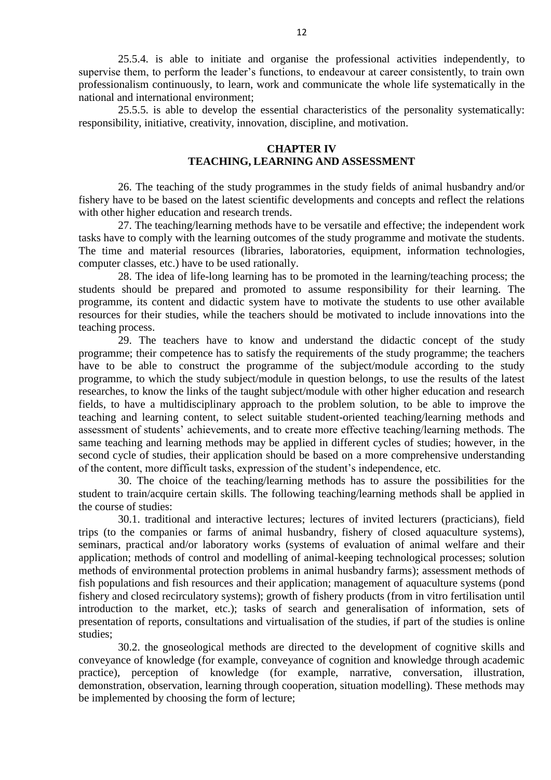25.5.4. is able to initiate and organise the professional activities independently, to supervise them, to perform the leader's functions, to endeavour at career consistently, to train own professionalism continuously, to learn, work and communicate the whole life systematically in the national and international environment;

25.5.5. is able to develop the essential characteristics of the personality systematically: responsibility, initiative, creativity, innovation, discipline, and motivation.

# **CHAPTER IV TEACHING, LEARNING AND ASSESSMENT**

26. The teaching of the study programmes in the study fields of animal husbandry and/or fishery have to be based on the latest scientific developments and concepts and reflect the relations with other higher education and research trends.

27. The teaching/learning methods have to be versatile and effective; the independent work tasks have to comply with the learning outcomes of the study programme and motivate the students. The time and material resources (libraries, laboratories, equipment, information technologies, computer classes, etc.) have to be used rationally.

28. The idea of life-long learning has to be promoted in the learning/teaching process; the students should be prepared and promoted to assume responsibility for their learning. The programme, its content and didactic system have to motivate the students to use other available resources for their studies, while the teachers should be motivated to include innovations into the teaching process.

29. The teachers have to know and understand the didactic concept of the study programme; their competence has to satisfy the requirements of the study programme; the teachers have to be able to construct the programme of the subject/module according to the study programme, to which the study subject/module in question belongs, to use the results of the latest researches, to know the links of the taught subject/module with other higher education and research fields, to have a multidisciplinary approach to the problem solution, to be able to improve the teaching and learning content, to select suitable student-oriented teaching/learning methods and assessment of students' achievements, and to create more effective teaching/learning methods. The same teaching and learning methods may be applied in different cycles of studies; however, in the second cycle of studies, their application should be based on a more comprehensive understanding of the content, more difficult tasks, expression of the student's independence, etc.

30. The choice of the teaching/learning methods has to assure the possibilities for the student to train/acquire certain skills. The following teaching/learning methods shall be applied in the course of studies:

30.1. traditional and interactive lectures; lectures of invited lecturers (practicians), field trips (to the companies or farms of animal husbandry, fishery of closed aquaculture systems), seminars, practical and/or laboratory works (systems of evaluation of animal welfare and their application; methods of control and modelling of animal-keeping technological processes; solution methods of environmental protection problems in animal husbandry farms); assessment methods of fish populations and fish resources and their application; management of aquaculture systems (pond fishery and closed recirculatory systems); growth of fishery products (from in vitro fertilisation until introduction to the market, etc.); tasks of search and generalisation of information, sets of presentation of reports, consultations and virtualisation of the studies, if part of the studies is online studies;

30.2. the gnoseological methods are directed to the development of cognitive skills and conveyance of knowledge (for example, conveyance of cognition and knowledge through academic practice), perception of knowledge (for example, narrative, conversation, illustration, demonstration, observation, learning through cooperation, situation modelling). These methods may be implemented by choosing the form of lecture;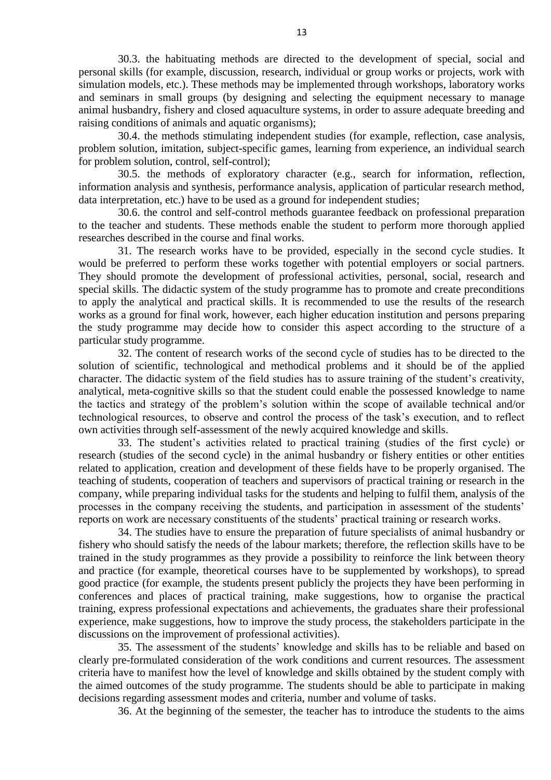30.3. the habituating methods are directed to the development of special, social and personal skills (for example, discussion, research, individual or group works or projects, work with simulation models, etc.). These methods may be implemented through workshops, laboratory works and seminars in small groups (by designing and selecting the equipment necessary to manage animal husbandry, fishery and closed aquaculture systems, in order to assure adequate breeding and raising conditions of animals and aquatic organisms);

30.4. the methods stimulating independent studies (for example, reflection, case analysis, problem solution, imitation, subject-specific games, learning from experience, an individual search for problem solution, control, self-control);

30.5. the methods of exploratory character (e.g., search for information, reflection, information analysis and synthesis, performance analysis, application of particular research method, data interpretation, etc.) have to be used as a ground for independent studies;

30.6. the control and self-control methods guarantee feedback on professional preparation to the teacher and students. These methods enable the student to perform more thorough applied researches described in the course and final works.

31. The research works have to be provided, especially in the second cycle studies. It would be preferred to perform these works together with potential employers or social partners. They should promote the development of professional activities, personal, social, research and special skills. The didactic system of the study programme has to promote and create preconditions to apply the analytical and practical skills. It is recommended to use the results of the research works as a ground for final work, however, each higher education institution and persons preparing the study programme may decide how to consider this aspect according to the structure of a particular study programme.

32. The content of research works of the second cycle of studies has to be directed to the solution of scientific, technological and methodical problems and it should be of the applied character. The didactic system of the field studies has to assure training of the student's creativity, analytical, meta-cognitive skills so that the student could enable the possessed knowledge to name the tactics and strategy of the problem's solution within the scope of available technical and/or technological resources, to observe and control the process of the task's execution, and to reflect own activities through self-assessment of the newly acquired knowledge and skills.

33. The student's activities related to practical training (studies of the first cycle) or research (studies of the second cycle) in the animal husbandry or fishery entities or other entities related to application, creation and development of these fields have to be properly organised. The teaching of students, cooperation of teachers and supervisors of practical training or research in the company, while preparing individual tasks for the students and helping to fulfil them, analysis of the processes in the company receiving the students, and participation in assessment of the students' reports on work are necessary constituents of the students' practical training or research works.

34. The studies have to ensure the preparation of future specialists of animal husbandry or fishery who should satisfy the needs of the labour markets; therefore, the reflection skills have to be trained in the study programmes as they provide a possibility to reinforce the link between theory and practice (for example, theoretical courses have to be supplemented by workshops), to spread good practice (for example, the students present publicly the projects they have been performing in conferences and places of practical training, make suggestions, how to organise the practical training, express professional expectations and achievements, the graduates share their professional experience, make suggestions, how to improve the study process, the stakeholders participate in the discussions on the improvement of professional activities).

35. The assessment of the students' knowledge and skills has to be reliable and based on clearly pre-formulated consideration of the work conditions and current resources. The assessment criteria have to manifest how the level of knowledge and skills obtained by the student comply with the aimed outcomes of the study programme. The students should be able to participate in making decisions regarding assessment modes and criteria, number and volume of tasks.

36. At the beginning of the semester, the teacher has to introduce the students to the aims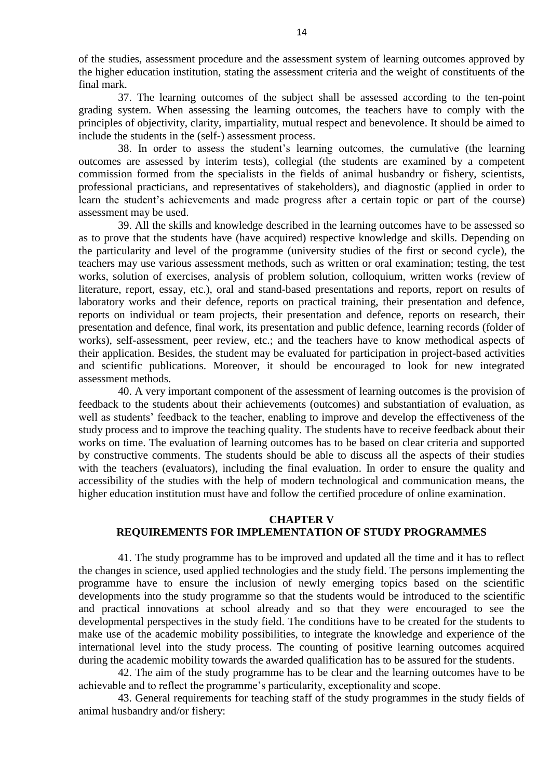of the studies, assessment procedure and the assessment system of learning outcomes approved by the higher education institution, stating the assessment criteria and the weight of constituents of the final mark.

37. The learning outcomes of the subject shall be assessed according to the ten-point grading system. When assessing the learning outcomes, the teachers have to comply with the principles of objectivity, clarity, impartiality, mutual respect and benevolence. It should be aimed to include the students in the (self-) assessment process.

38. In order to assess the student's learning outcomes, the cumulative (the learning outcomes are assessed by interim tests), collegial (the students are examined by a competent commission formed from the specialists in the fields of animal husbandry or fishery, scientists, professional practicians, and representatives of stakeholders), and diagnostic (applied in order to learn the student's achievements and made progress after a certain topic or part of the course) assessment may be used.

39. All the skills and knowledge described in the learning outcomes have to be assessed so as to prove that the students have (have acquired) respective knowledge and skills. Depending on the particularity and level of the programme (university studies of the first or second cycle), the teachers may use various assessment methods, such as written or oral examination; testing, the test works, solution of exercises, analysis of problem solution, colloquium, written works (review of literature, report, essay, etc.), oral and stand-based presentations and reports, report on results of laboratory works and their defence, reports on practical training, their presentation and defence, reports on individual or team projects, their presentation and defence, reports on research, their presentation and defence, final work, its presentation and public defence, learning records (folder of works), self-assessment, peer review, etc.; and the teachers have to know methodical aspects of their application. Besides, the student may be evaluated for participation in project-based activities and scientific publications. Moreover, it should be encouraged to look for new integrated assessment methods.

40. A very important component of the assessment of learning outcomes is the provision of feedback to the students about their achievements (outcomes) and substantiation of evaluation, as well as students' feedback to the teacher, enabling to improve and develop the effectiveness of the study process and to improve the teaching quality. The students have to receive feedback about their works on time. The evaluation of learning outcomes has to be based on clear criteria and supported by constructive comments. The students should be able to discuss all the aspects of their studies with the teachers (evaluators), including the final evaluation. In order to ensure the quality and accessibility of the studies with the help of modern technological and communication means, the higher education institution must have and follow the certified procedure of online examination.

#### **CHAPTER V**

#### **REQUIREMENTS FOR IMPLEMENTATION OF STUDY PROGRAMMES**

41. The study programme has to be improved and updated all the time and it has to reflect the changes in science, used applied technologies and the study field. The persons implementing the programme have to ensure the inclusion of newly emerging topics based on the scientific developments into the study programme so that the students would be introduced to the scientific and practical innovations at school already and so that they were encouraged to see the developmental perspectives in the study field. The conditions have to be created for the students to make use of the academic mobility possibilities, to integrate the knowledge and experience of the international level into the study process. The counting of positive learning outcomes acquired during the academic mobility towards the awarded qualification has to be assured for the students.

42. The aim of the study programme has to be clear and the learning outcomes have to be achievable and to reflect the programme's particularity, exceptionality and scope.

43. General requirements for teaching staff of the study programmes in the study fields of animal husbandry and/or fishery: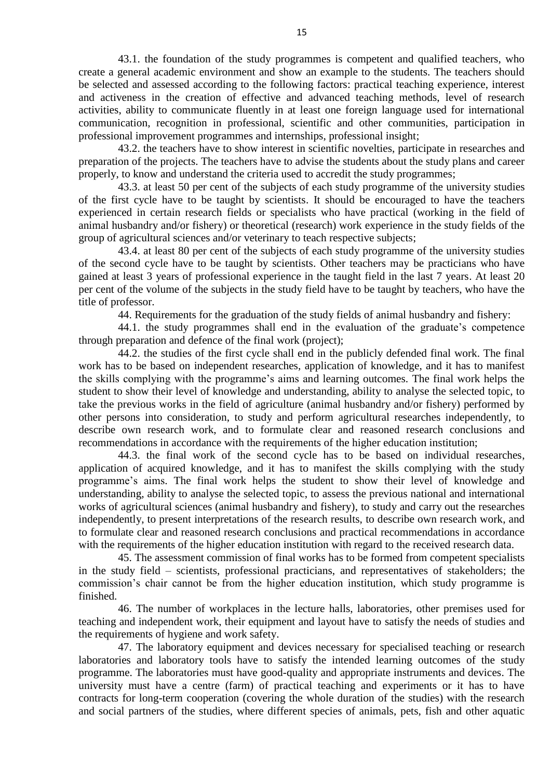43.1. the foundation of the study programmes is competent and qualified teachers, who create a general academic environment and show an example to the students. The teachers should be selected and assessed according to the following factors: practical teaching experience, interest and activeness in the creation of effective and advanced teaching methods, level of research activities, ability to communicate fluently in at least one foreign language used for international communication, recognition in professional, scientific and other communities, participation in professional improvement programmes and internships, professional insight;

43.2. the teachers have to show interest in scientific novelties, participate in researches and preparation of the projects. The teachers have to advise the students about the study plans and career properly, to know and understand the criteria used to accredit the study programmes;

43.3. at least 50 per cent of the subjects of each study programme of the university studies of the first cycle have to be taught by scientists. It should be encouraged to have the teachers experienced in certain research fields or specialists who have practical (working in the field of animal husbandry and/or fishery) or theoretical (research) work experience in the study fields of the group of agricultural sciences and/or veterinary to teach respective subjects;

43.4. at least 80 per cent of the subjects of each study programme of the university studies of the second cycle have to be taught by scientists. Other teachers may be practicians who have gained at least 3 years of professional experience in the taught field in the last 7 years. At least 20 per cent of the volume of the subjects in the study field have to be taught by teachers, who have the title of professor.

44. Requirements for the graduation of the study fields of animal husbandry and fishery:

44.1. the study programmes shall end in the evaluation of the graduate's competence through preparation and defence of the final work (project);

44.2. the studies of the first cycle shall end in the publicly defended final work. The final work has to be based on independent researches, application of knowledge, and it has to manifest the skills complying with the programme's aims and learning outcomes. The final work helps the student to show their level of knowledge and understanding, ability to analyse the selected topic, to take the previous works in the field of agriculture (animal husbandry and/or fishery) performed by other persons into consideration, to study and perform agricultural researches independently, to describe own research work, and to formulate clear and reasoned research conclusions and recommendations in accordance with the requirements of the higher education institution;

44.3. the final work of the second cycle has to be based on individual researches, application of acquired knowledge, and it has to manifest the skills complying with the study programme's aims. The final work helps the student to show their level of knowledge and understanding, ability to analyse the selected topic, to assess the previous national and international works of agricultural sciences (animal husbandry and fishery), to study and carry out the researches independently, to present interpretations of the research results, to describe own research work, and to formulate clear and reasoned research conclusions and practical recommendations in accordance with the requirements of the higher education institution with regard to the received research data.

45. The assessment commission of final works has to be formed from competent specialists in the study field – scientists, professional practicians, and representatives of stakeholders; the commission's chair cannot be from the higher education institution, which study programme is finished.

46. The number of workplaces in the lecture halls, laboratories, other premises used for teaching and independent work, their equipment and layout have to satisfy the needs of studies and the requirements of hygiene and work safety.

47. The laboratory equipment and devices necessary for specialised teaching or research laboratories and laboratory tools have to satisfy the intended learning outcomes of the study programme. The laboratories must have good-quality and appropriate instruments and devices. The university must have a centre (farm) of practical teaching and experiments or it has to have contracts for long-term cooperation (covering the whole duration of the studies) with the research and social partners of the studies, where different species of animals, pets, fish and other aquatic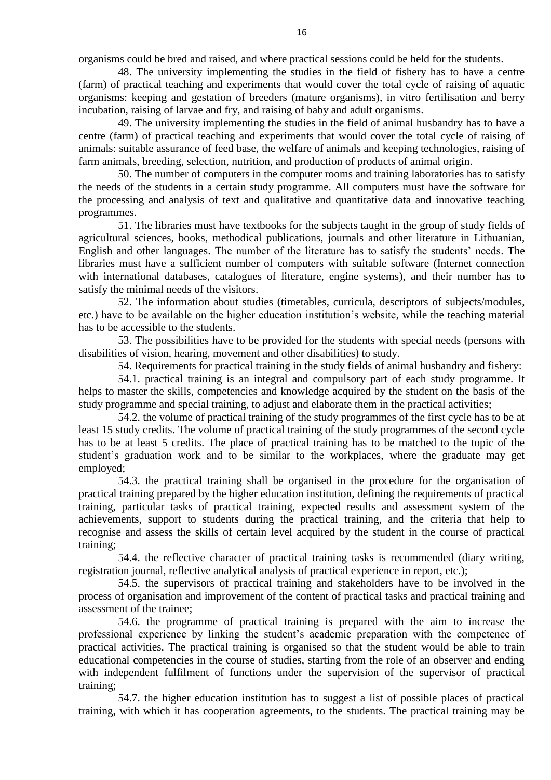organisms could be bred and raised, and where practical sessions could be held for the students.

48. The university implementing the studies in the field of fishery has to have a centre (farm) of practical teaching and experiments that would cover the total cycle of raising of aquatic organisms: keeping and gestation of breeders (mature organisms), in vitro fertilisation and berry incubation, raising of larvae and fry, and raising of baby and adult organisms.

49. The university implementing the studies in the field of animal husbandry has to have a centre (farm) of practical teaching and experiments that would cover the total cycle of raising of animals: suitable assurance of feed base, the welfare of animals and keeping technologies, raising of farm animals, breeding, selection, nutrition, and production of products of animal origin.

50. The number of computers in the computer rooms and training laboratories has to satisfy the needs of the students in a certain study programme. All computers must have the software for the processing and analysis of text and qualitative and quantitative data and innovative teaching programmes.

51. The libraries must have textbooks for the subjects taught in the group of study fields of agricultural sciences, books, methodical publications, journals and other literature in Lithuanian, English and other languages. The number of the literature has to satisfy the students' needs. The libraries must have a sufficient number of computers with suitable software (Internet connection with international databases, catalogues of literature, engine systems), and their number has to satisfy the minimal needs of the visitors.

52. The information about studies (timetables, curricula, descriptors of subjects/modules, etc.) have to be available on the higher education institution's website, while the teaching material has to be accessible to the students.

53. The possibilities have to be provided for the students with special needs (persons with disabilities of vision, hearing, movement and other disabilities) to study.

54. Requirements for practical training in the study fields of animal husbandry and fishery:

54.1. practical training is an integral and compulsory part of each study programme. It helps to master the skills, competencies and knowledge acquired by the student on the basis of the study programme and special training, to adjust and elaborate them in the practical activities;

54.2. the volume of practical training of the study programmes of the first cycle has to be at least 15 study credits. The volume of practical training of the study programmes of the second cycle has to be at least 5 credits. The place of practical training has to be matched to the topic of the student's graduation work and to be similar to the workplaces, where the graduate may get employed;

54.3. the practical training shall be organised in the procedure for the organisation of practical training prepared by the higher education institution, defining the requirements of practical training, particular tasks of practical training, expected results and assessment system of the achievements, support to students during the practical training, and the criteria that help to recognise and assess the skills of certain level acquired by the student in the course of practical training;

54.4. the reflective character of practical training tasks is recommended (diary writing, registration journal, reflective analytical analysis of practical experience in report, etc.);

54.5. the supervisors of practical training and stakeholders have to be involved in the process of organisation and improvement of the content of practical tasks and practical training and assessment of the trainee;

54.6. the programme of practical training is prepared with the aim to increase the professional experience by linking the student's academic preparation with the competence of practical activities. The practical training is organised so that the student would be able to train educational competencies in the course of studies, starting from the role of an observer and ending with independent fulfilment of functions under the supervision of the supervisor of practical training;

54.7. the higher education institution has to suggest a list of possible places of practical training, with which it has cooperation agreements, to the students. The practical training may be